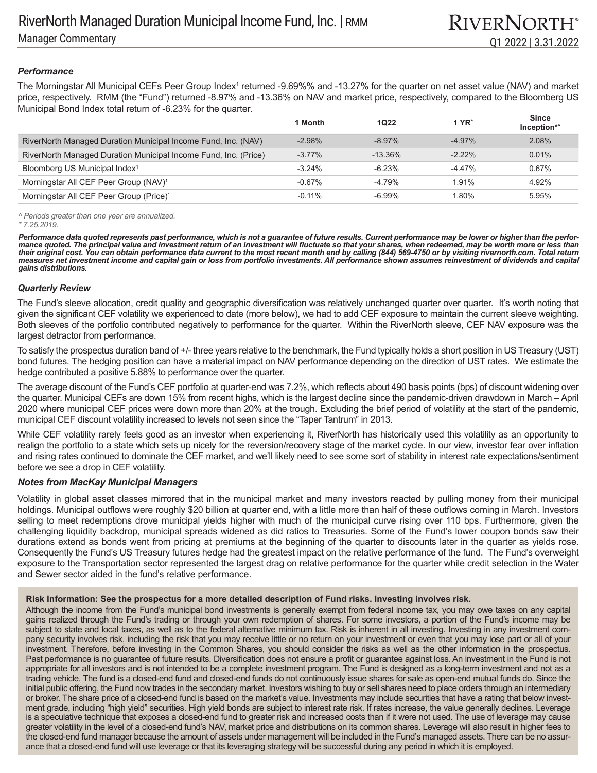# *Performance*

The Morningstar All Municipal CEFs Peer Group Index<sup>1</sup> returned -9.69%% and -13.27% for the quarter on net asset value (NAV) and market price, respectively. RMM (the "Fund") returned -8.97% and -13.36% on NAV and market price, respectively, compared to the Bloomberg US Municipal Bond Index total return of -6.23% for the quarter.

|                                                                 | 1 Month   | <b>1Q22</b> | $1$ YR <sup><math>\hat{}</math></sup> | <b>Since</b><br>Inception*^ |
|-----------------------------------------------------------------|-----------|-------------|---------------------------------------|-----------------------------|
| RiverNorth Managed Duration Municipal Income Fund, Inc. (NAV)   | $-2.98%$  | $-8.97%$    | $-4.97\%$                             | 2.08%                       |
| RiverNorth Managed Duration Municipal Income Fund, Inc. (Price) | $-3.77\%$ | $-13.36\%$  | $-222%$                               | 0.01%                       |
| Bloomberg US Municipal Index <sup>1</sup>                       | $-3.24%$  | $-6.23%$    | $-4.47\%$                             | 0.67%                       |
| Morningstar All CEF Peer Group (NAV) <sup>1</sup>               | $-0.67\%$ | -4.79%      | 1.91%                                 | 4.92%                       |
| Morningstar All CEF Peer Group (Price) <sup>1</sup>             | $-0.11%$  | $-6.99\%$   | 1.80%                                 | 5.95%                       |

*^ Periods greater than one year are annualized.*

*Performance data quoted represents past performance, which is not a guarantee of future results. Current performance may be lower or higher than the performance quoted. The principal value and investment return of an investment will fluctuate so that your shares, when redeemed, may be worth more or less than their original cost. You can obtain performance data current to the most recent month end by calling (844) 569-4750 or by visiting rivernorth.com. Total return measures net investment income and capital gain or loss from portfolio investments. All performance shown assumes reinvestment of dividends and capital gains distributions.*

### *Quarterly Review*

The Fund's sleeve allocation, credit quality and geographic diversification was relatively unchanged quarter over quarter. It's worth noting that given the significant CEF volatility we experienced to date (more below), we had to add CEF exposure to maintain the current sleeve weighting. Both sleeves of the portfolio contributed negatively to performance for the quarter. Within the RiverNorth sleeve, CEF NAV exposure was the largest detractor from performance.

To satisfy the prospectus duration band of +/- three years relative to the benchmark, the Fund typically holds a short position in US Treasury (UST) bond futures. The hedging position can have a material impact on NAV performance depending on the direction of UST rates. We estimate the hedge contributed a positive 5.88% to performance over the quarter.

The average discount of the Fund's CEF portfolio at quarter-end was 7.2%, which reflects about 490 basis points (bps) of discount widening over the quarter. Municipal CEFs are down 15% from recent highs, which is the largest decline since the pandemic-driven drawdown in March – April 2020 where municipal CEF prices were down more than 20% at the trough. Excluding the brief period of volatility at the start of the pandemic, municipal CEF discount volatility increased to levels not seen since the "Taper Tantrum" in 2013.

While CEF volatility rarely feels good as an investor when experiencing it, RiverNorth has historically used this volatility as an opportunity to realign the portfolio to a state which sets up nicely for the reversion/recovery stage of the market cycle. In our view, investor fear over inflation and rising rates continued to dominate the CEF market, and we'll likely need to see some sort of stability in interest rate expectations/sentiment before we see a drop in CEF volatility.

## *Notes from MacKay Municipal Managers*

Volatility in global asset classes mirrored that in the municipal market and many investors reacted by pulling money from their municipal holdings. Municipal outflows were roughly \$20 billion at quarter end, with a little more than half of these outflows coming in March. Investors selling to meet redemptions drove municipal yields higher with much of the municipal curve rising over 110 bps. Furthermore, given the challenging liquidity backdrop, municipal spreads widened as did ratios to Treasuries. Some of the Fund's lower coupon bonds saw their durations extend as bonds went from pricing at premiums at the beginning of the quarter to discounts later in the quarter as yields rose. Consequently the Fund's US Treasury futures hedge had the greatest impact on the relative performance of the fund. The Fund's overweight exposure to the Transportation sector represented the largest drag on relative performance for the quarter while credit selection in the Water and Sewer sector aided in the fund's relative performance.

### **Risk Information: See the prospectus for a more detailed description of Fund risks. Investing involves risk.**

Although the income from the Fund's municipal bond investments is generally exempt from federal income tax, you may owe taxes on any capital gains realized through the Fund's trading or through your own redemption of shares. For some investors, a portion of the Fund's income may be subject to state and local taxes, as well as to the federal alternative minimum tax. Risk is inherent in all investing. Investing in any investment company security involves risk, including the risk that you may receive little or no return on your investment or even that you may lose part or all of your investment. Therefore, before investing in the Common Shares, you should consider the risks as well as the other information in the prospectus. Past performance is no guarantee of future results. Diversification does not ensure a profit or guarantee against loss. An investment in the Fund is not appropriate for all investors and is not intended to be a complete investment program. The Fund is designed as a long-term investment and not as a trading vehicle. The fund is a closed-end fund and closed-end funds do not continuously issue shares for sale as open-end mutual funds do. Since the initial public offering, the Fund now trades in the secondary market. Investors wishing to buy or sell shares need to place orders through an intermediary or broker. The share price of a closed-end fund is based on the market's value. Investments may include securities that have a rating that below investment grade, including "high yield" securities. High yield bonds are subject to interest rate risk. If rates increase, the value generally declines. Leverage is a speculative technique that exposes a closed-end fund to greater risk and increased costs than if it were not used. The use of leverage may cause greater volatility in the level of a closed-end fund's NAV, market price and distributions on its common shares. Leverage will also result in higher fees to the closed-end fund manager because the amount of assets under management will be included in the Fund's managed assets. There can be no assurance that a closed-end fund will use leverage or that its leveraging strategy will be successful during any period in which it is employed.

*<sup>\* 7.25.2019.</sup>*